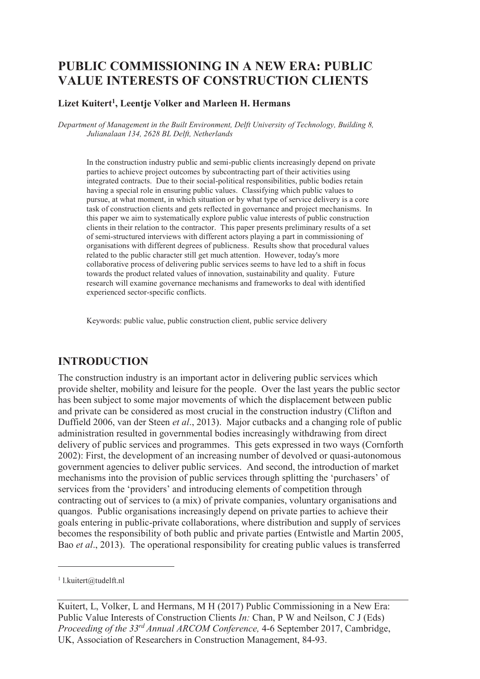# **PUBLIC COMMISSIONING IN A NEW ERA: PUBLIC VALUE INTERESTS OF CONSTRUCTION CLIENTS**

#### **Lizet Kuitert<sup>1</sup> , Leentje Volker and Marleen H. Hermans**

*Department of Management in the Built Environment, Delft University of Technology, Building 8, Julianalaan 134, 2628 BL Delft, Netherlands* 

In the construction industry public and semi-public clients increasingly depend on private parties to achieve project outcomes by subcontracting part of their activities using integrated contracts. Due to their social-political responsibilities, public bodies retain having a special role in ensuring public values. Classifying which public values to pursue, at what moment, in which situation or by what type of service delivery is a core task of construction clients and gets reflected in governance and project mechanisms. In this paper we aim to systematically explore public value interests of public construction clients in their relation to the contractor. This paper presents preliminary results of a set of semi-structured interviews with different actors playing a part in commissioning of organisations with different degrees of publicness. Results show that procedural values related to the public character still get much attention. However, today's more collaborative process of delivering public services seems to have led to a shift in focus towards the product related values of innovation, sustainability and quality. Future research will examine governance mechanisms and frameworks to deal with identified experienced sector-specific conflicts.

Keywords: public value, public construction client, public service delivery

#### **INTRODUCTION**

The construction industry is an important actor in delivering public services which provide shelter, mobility and leisure for the people. Over the last years the public sector has been subject to some major movements of which the displacement between public and private can be considered as most crucial in the construction industry (Clifton and Duffield 2006, van der Steen *et al*., 2013). Major cutbacks and a changing role of public administration resulted in governmental bodies increasingly withdrawing from direct delivery of public services and programmes. This gets expressed in two ways (Cornforth 2002): First, the development of an increasing number of devolved or quasi-autonomous government agencies to deliver public services. And second, the introduction of market mechanisms into the provision of public services through splitting the 'purchasers' of services from the 'providers' and introducing elements of competition through contracting out of services to (a mix) of private companies, voluntary organisations and quangos. Public organisations increasingly depend on private parties to achieve their goals entering in public-private collaborations, where distribution and supply of services becomes the responsibility of both public and private parties (Entwistle and Martin 2005, Bao *et al*., 2013). The operational responsibility for creating public values is transferred

-

<sup>1</sup> l.kuitert@tudelft.nl

Kuitert, L, Volker, L and Hermans, M H (2017) Public Commissioning in a New Era: Public Value Interests of Construction Clients *In:* Chan, P W and Neilson, C J (Eds) *Proceeding of the 33rd Annual ARCOM Conference,* 4-6 September 2017, Cambridge, UK, Association of Researchers in Construction Management, 84-93.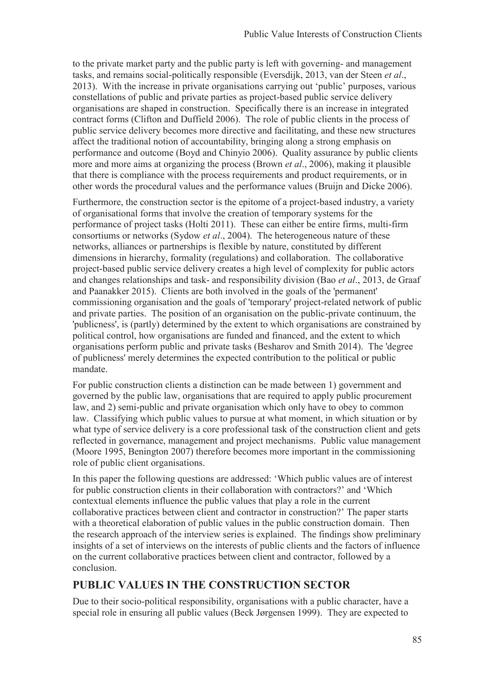to the private market party and the public party is left with governing- and management tasks, and remains social-politically responsible (Eversdijk, 2013, van der Steen *et al*., 2013). With the increase in private organisations carrying out 'public' purposes, various constellations of public and private parties as project-based public service delivery organisations are shaped in construction. Specifically there is an increase in integrated contract forms (Clifton and Duffield 2006). The role of public clients in the process of public service delivery becomes more directive and facilitating, and these new structures affect the traditional notion of accountability, bringing along a strong emphasis on performance and outcome (Boyd and Chinyio 2006). Quality assurance by public clients more and more aims at organizing the process (Brown *et al*., 2006), making it plausible that there is compliance with the process requirements and product requirements, or in other words the procedural values and the performance values (Bruijn and Dicke 2006).

Furthermore, the construction sector is the epitome of a project-based industry, a variety of organisational forms that involve the creation of temporary systems for the performance of project tasks (Holti 2011). These can either be entire firms, multi-firm consortiums or networks (Sydow *et al*., 2004). The heterogeneous nature of these networks, alliances or partnerships is flexible by nature, constituted by different dimensions in hierarchy, formality (regulations) and collaboration. The collaborative project-based public service delivery creates a high level of complexity for public actors and changes relationships and task- and responsibility division (Bao *et al*., 2013, de Graaf and Paanakker 2015). Clients are both involved in the goals of the 'permanent' commissioning organisation and the goals of 'temporary' project-related network of public and private parties. The position of an organisation on the public-private continuum, the 'publicness', is (partly) determined by the extent to which organisations are constrained by political control, how organisations are funded and financed, and the extent to which organisations perform public and private tasks (Besharov and Smith 2014). The 'degree of publicness' merely determines the expected contribution to the political or public mandate.

For public construction clients a distinction can be made between 1) government and governed by the public law, organisations that are required to apply public procurement law, and 2) semi-public and private organisation which only have to obey to common law. Classifying which public values to pursue at what moment, in which situation or by what type of service delivery is a core professional task of the construction client and gets reflected in governance, management and project mechanisms. Public value management (Moore 1995, Benington 2007) therefore becomes more important in the commissioning role of public client organisations.

In this paper the following questions are addressed: 'Which public values are of interest for public construction clients in their collaboration with contractors?' and 'Which contextual elements influence the public values that play a role in the current collaborative practices between client and contractor in construction?' The paper starts with a theoretical elaboration of public values in the public construction domain. Then the research approach of the interview series is explained. The findings show preliminary insights of a set of interviews on the interests of public clients and the factors of influence on the current collaborative practices between client and contractor, followed by a conclusion.

### **PUBLIC VALUES IN THE CONSTRUCTION SECTOR**

Due to their socio-political responsibility, organisations with a public character, have a special role in ensuring all public values (Beck Jørgensen 1999). They are expected to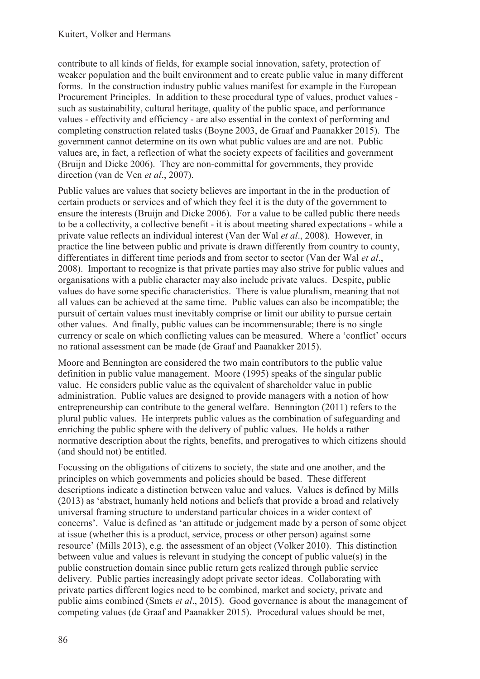contribute to all kinds of fields, for example social innovation, safety, protection of weaker population and the built environment and to create public value in many different forms. In the construction industry public values manifest for example in the European Procurement Principles. In addition to these procedural type of values, product values such as sustainability, cultural heritage, quality of the public space, and performance values - effectivity and efficiency - are also essential in the context of performing and completing construction related tasks (Boyne 2003, de Graaf and Paanakker 2015). The government cannot determine on its own what public values are and are not. Public values are, in fact, a reflection of what the society expects of facilities and government (Bruijn and Dicke 2006). They are non-committal for governments, they provide direction (van de Ven *et al*., 2007).

Public values are values that society believes are important in the in the production of certain products or services and of which they feel it is the duty of the government to ensure the interests (Bruijn and Dicke 2006). For a value to be called public there needs to be a collectivity, a collective benefit - it is about meeting shared expectations - while a private value reflects an individual interest (Van der Wal *et al*., 2008). However, in practice the line between public and private is drawn differently from country to county, differentiates in different time periods and from sector to sector (Van der Wal *et al*., 2008). Important to recognize is that private parties may also strive for public values and organisations with a public character may also include private values. Despite, public values do have some specific characteristics. There is value pluralism, meaning that not all values can be achieved at the same time. Public values can also be incompatible; the pursuit of certain values must inevitably comprise or limit our ability to pursue certain other values. And finally, public values can be incommensurable; there is no single currency or scale on which conflicting values can be measured. Where a 'conflict' occurs no rational assessment can be made (de Graaf and Paanakker 2015).

Moore and Bennington are considered the two main contributors to the public value definition in public value management. Moore (1995) speaks of the singular public value. He considers public value as the equivalent of shareholder value in public administration. Public values are designed to provide managers with a notion of how entrepreneurship can contribute to the general welfare. Bennington (2011) refers to the plural public values. He interprets public values as the combination of safeguarding and enriching the public sphere with the delivery of public values. He holds a rather normative description about the rights, benefits, and prerogatives to which citizens should (and should not) be entitled.

Focussing on the obligations of citizens to society, the state and one another, and the principles on which governments and policies should be based. These different descriptions indicate a distinction between value and values. Values is defined by Mills (2013) as 'abstract, humanly held notions and beliefs that provide a broad and relatively universal framing structure to understand particular choices in a wider context of concerns'. Value is defined as 'an attitude or judgement made by a person of some object at issue (whether this is a product, service, process or other person) against some resource' (Mills 2013), e.g. the assessment of an object (Volker 2010). This distinction between value and values is relevant in studying the concept of public value(s) in the public construction domain since public return gets realized through public service delivery. Public parties increasingly adopt private sector ideas. Collaborating with private parties different logics need to be combined, market and society, private and public aims combined (Smets *et al*., 2015). Good governance is about the management of competing values (de Graaf and Paanakker 2015). Procedural values should be met,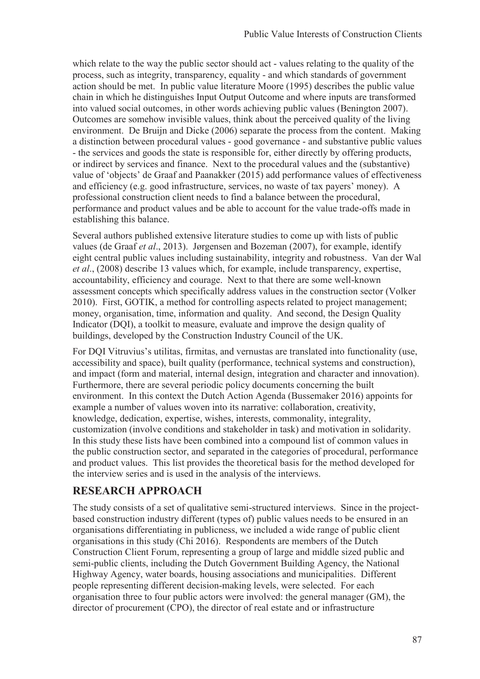which relate to the way the public sector should act - values relating to the quality of the process, such as integrity, transparency, equality - and which standards of government action should be met. In public value literature Moore (1995) describes the public value chain in which he distinguishes Input Output Outcome and where inputs are transformed into valued social outcomes, in other words achieving public values (Benington 2007). Outcomes are somehow invisible values, think about the perceived quality of the living environment. De Bruijn and Dicke (2006) separate the process from the content. Making a distinction between procedural values - good governance - and substantive public values - the services and goods the state is responsible for, either directly by offering products, or indirect by services and finance. Next to the procedural values and the (substantive) value of 'objects' de Graaf and Paanakker (2015) add performance values of effectiveness and efficiency (e.g. good infrastructure, services, no waste of tax payers' money). A professional construction client needs to find a balance between the procedural, performance and product values and be able to account for the value trade-offs made in establishing this balance.

Several authors published extensive literature studies to come up with lists of public values (de Graaf *et al*., 2013). Jørgensen and Bozeman (2007), for example, identify eight central public values including sustainability, integrity and robustness. Van der Wal *et al*., (2008) describe 13 values which, for example, include transparency, expertise, accountability, efficiency and courage. Next to that there are some well-known assessment concepts which specifically address values in the construction sector (Volker 2010). First, GOTIK, a method for controlling aspects related to project management; money, organisation, time, information and quality. And second, the Design Quality Indicator (DQI), a toolkit to measure, evaluate and improve the design quality of buildings, developed by the Construction Industry Council of the UK.

For DQI Vitruvius's utilitas, firmitas, and vernustas are translated into functionality (use, accessibility and space), built quality (performance, technical systems and construction), and impact (form and material, internal design, integration and character and innovation). Furthermore, there are several periodic policy documents concerning the built environment. In this context the Dutch Action Agenda (Bussemaker 2016) appoints for example a number of values woven into its narrative: collaboration, creativity, knowledge, dedication, expertise, wishes, interests, commonality, integrality, customization (involve conditions and stakeholder in task) and motivation in solidarity. In this study these lists have been combined into a compound list of common values in the public construction sector, and separated in the categories of procedural, performance and product values. This list provides the theoretical basis for the method developed for the interview series and is used in the analysis of the interviews.

### **RESEARCH APPROACH**

The study consists of a set of qualitative semi-structured interviews. Since in the projectbased construction industry different (types of) public values needs to be ensured in an organisations differentiating in publicness, we included a wide range of public client organisations in this study (Chi 2016). Respondents are members of the Dutch Construction Client Forum, representing a group of large and middle sized public and semi-public clients, including the Dutch Government Building Agency, the National Highway Agency, water boards, housing associations and municipalities. Different people representing different decision-making levels, were selected. For each organisation three to four public actors were involved: the general manager (GM), the director of procurement (CPO), the director of real estate and or infrastructure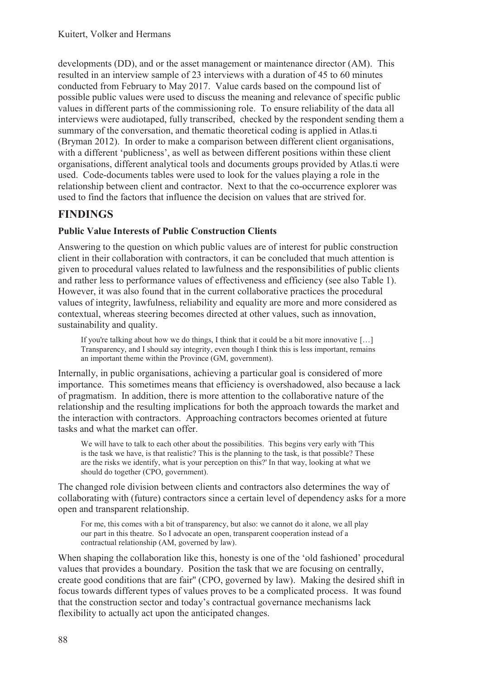developments (DD), and or the asset management or maintenance director (AM). This resulted in an interview sample of 23 interviews with a duration of 45 to 60 minutes conducted from February to May 2017. Value cards based on the compound list of possible public values were used to discuss the meaning and relevance of specific public values in different parts of the commissioning role. To ensure reliability of the data all interviews were audiotaped, fully transcribed, checked by the respondent sending them a summary of the conversation, and thematic theoretical coding is applied in Atlas.ti (Bryman 2012). In order to make a comparison between different client organisations, with a different 'publicness', as well as between different positions within these client organisations, different analytical tools and documents groups provided by Atlas.ti were used. Code-documents tables were used to look for the values playing a role in the relationship between client and contractor. Next to that the co-occurrence explorer was used to find the factors that influence the decision on values that are strived for.

## **FINDINGS**

#### **Public Value Interests of Public Construction Clients**

Answering to the question on which public values are of interest for public construction client in their collaboration with contractors, it can be concluded that much attention is given to procedural values related to lawfulness and the responsibilities of public clients and rather less to performance values of effectiveness and efficiency (see also Table 1). However, it was also found that in the current collaborative practices the procedural values of integrity, lawfulness, reliability and equality are more and more considered as contextual, whereas steering becomes directed at other values, such as innovation, sustainability and quality.

If you're talking about how we do things, I think that it could be a bit more innovative [...] Transparency, and I should say integrity, even though I think this is less important, remains an important theme within the Province (GM, government).

Internally, in public organisations, achieving a particular goal is considered of more importance. This sometimes means that efficiency is overshadowed, also because a lack of pragmatism. In addition, there is more attention to the collaborative nature of the relationship and the resulting implications for both the approach towards the market and the interaction with contractors. Approaching contractors becomes oriented at future tasks and what the market can offer.

We will have to talk to each other about the possibilities. This begins very early with 'This is the task we have, is that realistic? This is the planning to the task, is that possible? These are the risks we identify, what is your perception on this?' In that way, looking at what we should do together (CPO, government).

The changed role division between clients and contractors also determines the way of collaborating with (future) contractors since a certain level of dependency asks for a more open and transparent relationship.

For me, this comes with a bit of transparency, but also: we cannot do it alone, we all play our part in this theatre. So I advocate an open, transparent cooperation instead of a contractual relationship (AM, governed by law).

When shaping the collaboration like this, honesty is one of the 'old fashioned' procedural values that provides a boundary. Position the task that we are focusing on centrally, create good conditions that are fair'' (CPO, governed by law). Making the desired shift in focus towards different types of values proves to be a complicated process. It was found that the construction sector and today's contractual governance mechanisms lack flexibility to actually act upon the anticipated changes.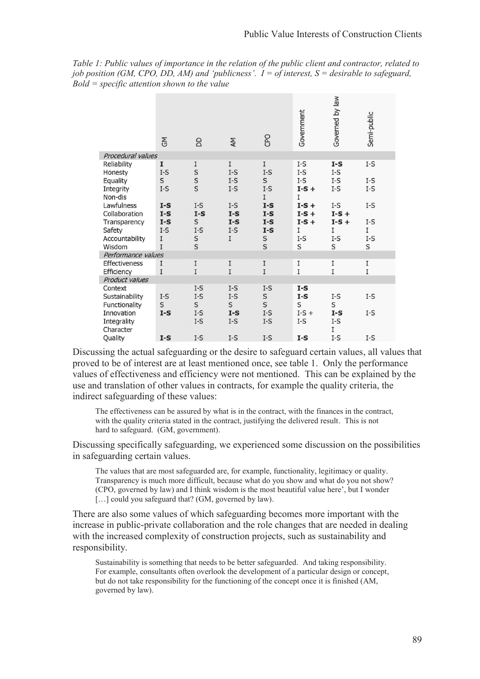*Table 1: Public values of importance in the relation of the public client and contractor, related to job position (GM, CPO, DD, AM) and 'publicness'. I = of interest, S = desirable to safeguard, Bold = specific attention shown to the value* 

|                    | GM                             | 6      | AΜ           | CPO                            | Government   | Governed by law | Semi-public |
|--------------------|--------------------------------|--------|--------------|--------------------------------|--------------|-----------------|-------------|
| Procedural values  |                                |        |              |                                |              |                 |             |
| Reliability        | I                              | I      | I            | I                              | $I-S$        | $I-S$           | I-S         |
| Honesty            | $I-S$                          | S      | $I-S$        | $I-S$                          | $I-S$        | $I-S$           |             |
| Equality           | $\sf S$                        | s<br>s | $\text{I-S}$ | S                              | $\text{I-S}$ | $I-S$           | I-S         |
| Integrity          | $I-S$                          |        | $I-S$        | $I-S$                          | $I-S +$      | $I-S$           | I-S         |
| Non-dis            |                                |        |              | I                              | I            |                 |             |
| Lawfulness         | $I-S$                          | $I-S$  | $I-S$        | $I-S$                          | $I-S +$      | I-S             | $I-S$       |
| Collaboration      | $\mathbf{I}\text{-}\mathbf{S}$ | $I-S$  | $I-S$        | $\mathbf{I}\text{-}\mathbf{S}$ | $I-S +$      | $I-S +$         |             |
| Transparency       | $I-S$                          | S      | $I-S$        | $I-S$                          | $I-S +$      | $I-S +$         | $I-S$       |
| Safety             | $I-S$                          | $I-S$  | $I-S$        | $\mathbf{I}\text{-}\mathbf{S}$ | I            | I               | I           |
| Accountability     | I                              | S      | I            | S                              | $I-S$        | $I-S$           | I-S         |
| Wisdom             | I                              | S      |              | S                              | S            | S               | S           |
| Performance values |                                |        |              |                                |              |                 |             |
| Effectiveness      | I                              | I      | I            | $\rm I$                        | I            | I               | I           |
| Efficiency         | $\rm I$                        | I      | I            | $\bar{\text{I}}$               | I            | I               | $\rm I$     |
| Product values     |                                |        |              |                                |              |                 |             |
| Context            |                                | $I-S$  | $I-S$        | $I-S$                          | $I-S$        |                 |             |
| Sustainability     | $I-S$                          | $I-S$  | $I-S$        | S<br>S                         | $I-S$        | $I-S$           | I-S         |
| Functionality      | $\sf S$                        | S      | S            |                                | S            | S               |             |
| Innovation         | $I-S$                          | $I-S$  | $I-S$        | $I-S$                          | $I-S +$      | $I-S$           | $I-S$       |
| Integrality        |                                | $I-S$  | $I-S$        | $I-S$                          | $I-S$        | $I-S$           |             |
| Character          |                                |        |              |                                |              | I               |             |
| Ouality            | $I-S$                          | $I-S$  | $I-S$        | $I-S$                          | $I-S$        | $I-S$           | $I-S$       |

Discussing the actual safeguarding or the desire to safeguard certain values, all values that proved to be of interest are at least mentioned once, see table 1. Only the performance values of effectiveness and efficiency were not mentioned. This can be explained by the use and translation of other values in contracts, for example the quality criteria, the indirect safeguarding of these values:

The effectiveness can be assured by what is in the contract, with the finances in the contract, with the quality criteria stated in the contract, justifying the delivered result. This is not hard to safeguard. (GM, government).

Discussing specifically safeguarding, we experienced some discussion on the possibilities in safeguarding certain values.

The values that are most safeguarded are, for example, functionality, legitimacy or quality. Transparency is much more difficult, because what do you show and what do you not show? (CPO, governed by law) and I think wisdom is the most beautiful value here', but I wonder [...] could you safeguard that? (GM, governed by law).

There are also some values of which safeguarding becomes more important with the increase in public-private collaboration and the role changes that are needed in dealing with the increased complexity of construction projects, such as sustainability and responsibility.

Sustainability is something that needs to be better safeguarded. And taking responsibility. For example, consultants often overlook the development of a particular design or concept, but do not take responsibility for the functioning of the concept once it is finished (AM, governed by law).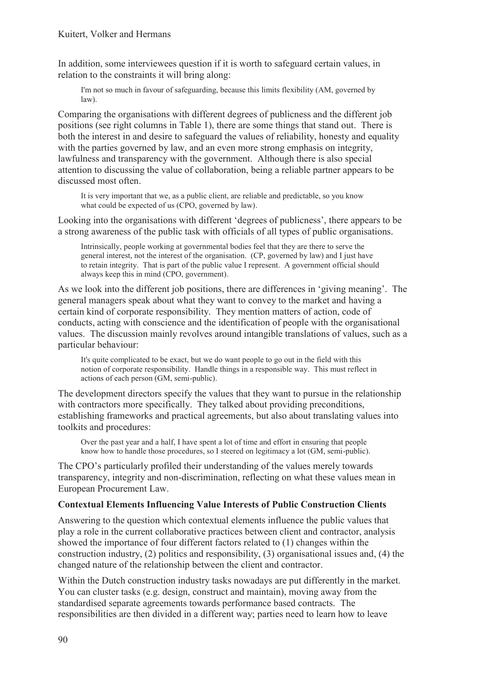In addition, some interviewees question if it is worth to safeguard certain values, in relation to the constraints it will bring along:

I'm not so much in favour of safeguarding, because this limits flexibility (AM, governed by law).

Comparing the organisations with different degrees of publicness and the different job positions (see right columns in Table 1), there are some things that stand out. There is both the interest in and desire to safeguard the values of reliability, honesty and equality with the parties governed by law, and an even more strong emphasis on integrity, lawfulness and transparency with the government. Although there is also special attention to discussing the value of collaboration, being a reliable partner appears to be discussed most often.

It is very important that we, as a public client, are reliable and predictable, so you know what could be expected of us (CPO, governed by law).

Looking into the organisations with different 'degrees of publicness', there appears to be a strong awareness of the public task with officials of all types of public organisations.

Intrinsically, people working at governmental bodies feel that they are there to serve the general interest, not the interest of the organisation. (CP, governed by law) and I just have to retain integrity. That is part of the public value I represent. A government official should always keep this in mind (CPO, government).

As we look into the different job positions, there are differences in 'giving meaning'. The general managers speak about what they want to convey to the market and having a certain kind of corporate responsibility. They mention matters of action, code of conducts, acting with conscience and the identification of people with the organisational values. The discussion mainly revolves around intangible translations of values, such as a particular behaviour:

It's quite complicated to be exact, but we do want people to go out in the field with this notion of corporate responsibility. Handle things in a responsible way. This must reflect in actions of each person (GM, semi-public).

The development directors specify the values that they want to pursue in the relationship with contractors more specifically. They talked about providing preconditions, establishing frameworks and practical agreements, but also about translating values into toolkits and procedures:

Over the past year and a half, I have spent a lot of time and effort in ensuring that people know how to handle those procedures, so I steered on legitimacy a lot (GM, semi-public).

The CPO's particularly profiled their understanding of the values merely towards transparency, integrity and non-discrimination, reflecting on what these values mean in European Procurement Law.

#### **Contextual Elements Influencing Value Interests of Public Construction Clients**

Answering to the question which contextual elements influence the public values that play a role in the current collaborative practices between client and contractor, analysis showed the importance of four different factors related to (1) changes within the construction industry, (2) politics and responsibility, (3) organisational issues and, (4) the changed nature of the relationship between the client and contractor.

Within the Dutch construction industry tasks nowadays are put differently in the market. You can cluster tasks (e.g. design, construct and maintain), moving away from the standardised separate agreements towards performance based contracts. The responsibilities are then divided in a different way; parties need to learn how to leave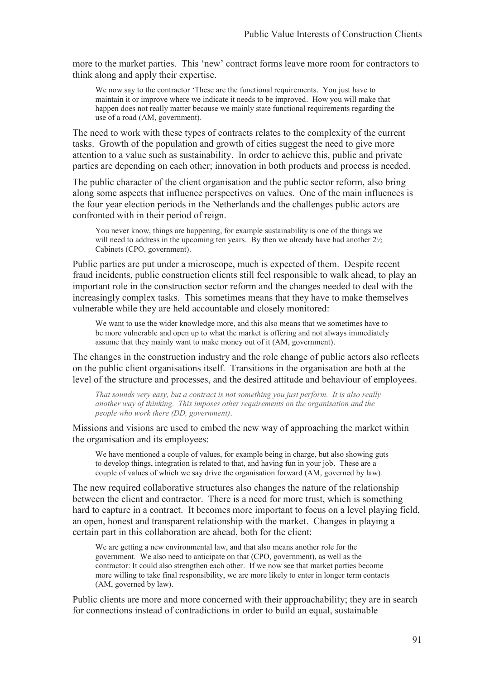more to the market parties. This 'new' contract forms leave more room for contractors to think along and apply their expertise.

We now say to the contractor 'These are the functional requirements. You just have to maintain it or improve where we indicate it needs to be improved. How you will make that happen does not really matter because we mainly state functional requirements regarding the use of a road (AM, government).

The need to work with these types of contracts relates to the complexity of the current tasks. Growth of the population and growth of cities suggest the need to give more attention to a value such as sustainability. In order to achieve this, public and private parties are depending on each other; innovation in both products and process is needed.

The public character of the client organisation and the public sector reform, also bring along some aspects that influence perspectives on values. One of the main influences is the four year election periods in the Netherlands and the challenges public actors are confronted with in their period of reign.

You never know, things are happening, for example sustainability is one of the things we will need to address in the upcoming ten years. By then we already have had another  $2\frac{1}{2}$ Cabinets (CPO, government).

Public parties are put under a microscope, much is expected of them. Despite recent fraud incidents, public construction clients still feel responsible to walk ahead, to play an important role in the construction sector reform and the changes needed to deal with the increasingly complex tasks. This sometimes means that they have to make themselves vulnerable while they are held accountable and closely monitored:

We want to use the wider knowledge more, and this also means that we sometimes have to be more vulnerable and open up to what the market is offering and not always immediately assume that they mainly want to make money out of it (AM, government).

The changes in the construction industry and the role change of public actors also reflects on the public client organisations itself. Transitions in the organisation are both at the level of the structure and processes, and the desired attitude and behaviour of employees.

*That sounds very easy, but a contract is not something you just perform. It is also really another way of thinking. This imposes other requirements on the organisation and the people who work there (DD, government)*.

Missions and visions are used to embed the new way of approaching the market within the organisation and its employees:

We have mentioned a couple of values, for example being in charge, but also showing guts to develop things, integration is related to that, and having fun in your job. These are a couple of values of which we say drive the organisation forward (AM, governed by law).

The new required collaborative structures also changes the nature of the relationship between the client and contractor. There is a need for more trust, which is something hard to capture in a contract. It becomes more important to focus on a level playing field, an open, honest and transparent relationship with the market. Changes in playing a certain part in this collaboration are ahead, both for the client:

We are getting a new environmental law, and that also means another role for the government. We also need to anticipate on that (CPO, government), as well as the contractor: It could also strengthen each other. If we now see that market parties become more willing to take final responsibility, we are more likely to enter in longer term contacts (AM, governed by law).

Public clients are more and more concerned with their approachability; they are in search for connections instead of contradictions in order to build an equal, sustainable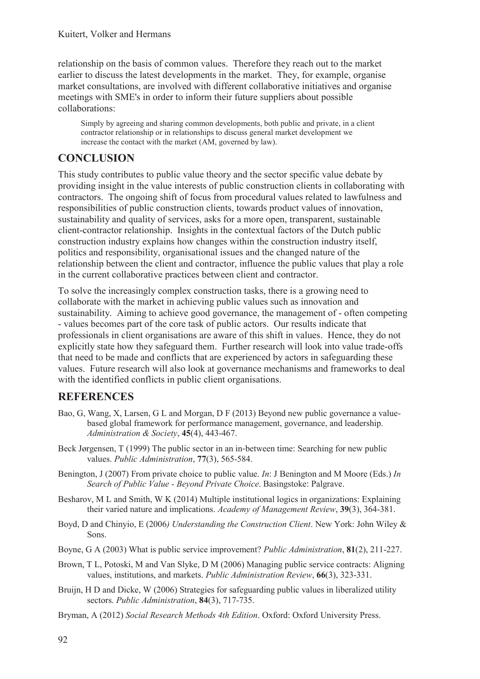relationship on the basis of common values. Therefore they reach out to the market earlier to discuss the latest developments in the market. They, for example, organise market consultations, are involved with different collaborative initiatives and organise meetings with SME's in order to inform their future suppliers about possible collaborations:

Simply by agreeing and sharing common developments, both public and private, in a client contractor relationship or in relationships to discuss general market development we increase the contact with the market (AM, governed by law).

#### **CONCLUSION**

This study contributes to public value theory and the sector specific value debate by providing insight in the value interests of public construction clients in collaborating with contractors. The ongoing shift of focus from procedural values related to lawfulness and responsibilities of public construction clients, towards product values of innovation, sustainability and quality of services, asks for a more open, transparent, sustainable client-contractor relationship. Insights in the contextual factors of the Dutch public construction industry explains how changes within the construction industry itself, politics and responsibility, organisational issues and the changed nature of the relationship between the client and contractor, influence the public values that play a role in the current collaborative practices between client and contractor.

To solve the increasingly complex construction tasks, there is a growing need to collaborate with the market in achieving public values such as innovation and sustainability. Aiming to achieve good governance, the management of - often competing - values becomes part of the core task of public actors. Our results indicate that professionals in client organisations are aware of this shift in values. Hence, they do not explicitly state how they safeguard them. Further research will look into value trade-offs that need to be made and conflicts that are experienced by actors in safeguarding these values. Future research will also look at governance mechanisms and frameworks to deal with the identified conflicts in public client organisations.

### **REFERENCES**

- Bao, G, Wang, X, Larsen, G L and Morgan, D F (2013) Beyond new public governance a valuebased global framework for performance management, governance, and leadership. *Administration & Society*, **45**(4), 443-467.
- Beck Jørgensen, T (1999) The public sector in an in-between time: Searching for new public values. *Public Administration*, **77**(3), 565-584.
- Benington, J (2007) From private choice to public value. *In*: J Benington and M Moore (Eds.) *In Search of Public Value - Beyond Private Choice*. Basingstoke: Palgrave.
- Besharov, M L and Smith, W K (2014) Multiple institutional logics in organizations: Explaining their varied nature and implications. *Academy of Management Review*, **39**(3), 364-381.
- Boyd, D and Chinyio, E (2006*) Understanding the Construction Client*. New York: John Wiley & Sons.
- Boyne, G A (2003) What is public service improvement? *Public Administration*, **81**(2), 211-227.
- Brown, T L, Potoski, M and Van Slyke, D M (2006) Managing public service contracts: Aligning values, institutions, and markets. *Public Administration Review*, **66**(3), 323-331.
- Bruijn, H D and Dicke, W (2006) Strategies for safeguarding public values in liberalized utility sectors. *Public Administration*, **84**(3), 717-735.
- Bryman, A (2012) *Social Research Methods 4th Edition*. Oxford: Oxford University Press.